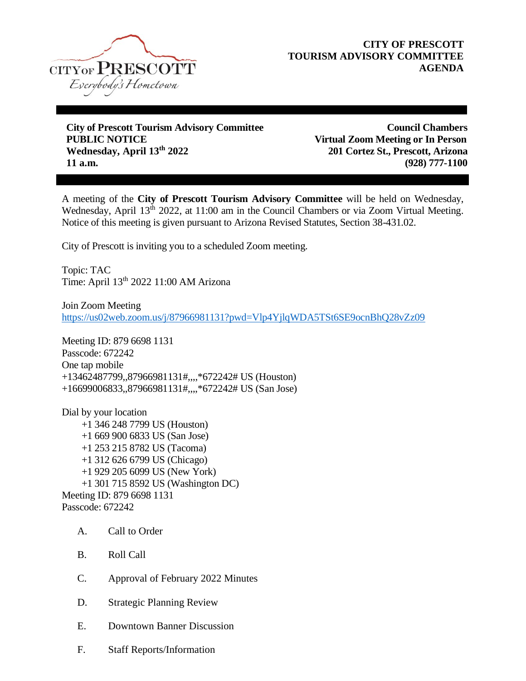

## **CITY OF PRESCOTT TOURISM ADVISORY COMMITTEE AGENDA**

**City of Prescott Tourism Advisory Committee Council Chambers PUBLIC NOTICE Virtual Zoom Meeting or In Person Wednesday, April 13th 2022 201 Cortez St., Prescott, Arizona 11 a.m. (928) 777-1100**

A meeting of the **City of Prescott Tourism Advisory Committee** will be held on Wednesday, Wednesday, April 13<sup>th</sup> 2022, at 11:00 am in the Council Chambers or via Zoom Virtual Meeting. Notice of this meeting is given pursuant to Arizona Revised Statutes, Section 38-431.02.

City of Prescott is inviting you to a scheduled Zoom meeting.

Topic: TAC Time: April 13th 2022 11:00 AM Arizona

Join Zoom Meeting <https://us02web.zoom.us/j/87966981131?pwd=Vlp4YjlqWDA5TSt6SE9ocnBhQ28vZz09>

Meeting ID: 879 6698 1131 Passcode: 672242 One tap mobile +13462487799,,87966981131#,,,,\*672242# US (Houston) +16699006833,,87966981131#,,,,\*672242# US (San Jose)

Dial by your location +1 346 248 7799 US (Houston) +1 669 900 6833 US (San Jose) +1 253 215 8782 US (Tacoma) +1 312 626 6799 US (Chicago) +1 929 205 6099 US (New York) +1 301 715 8592 US (Washington DC) Meeting ID: 879 6698 1131 Passcode: 672242

- A. Call to Order
- B. Roll Call
- C. Approval of February 2022 Minutes
- D. Strategic Planning Review
- E. Downtown Banner Discussion
- F. Staff Reports/Information